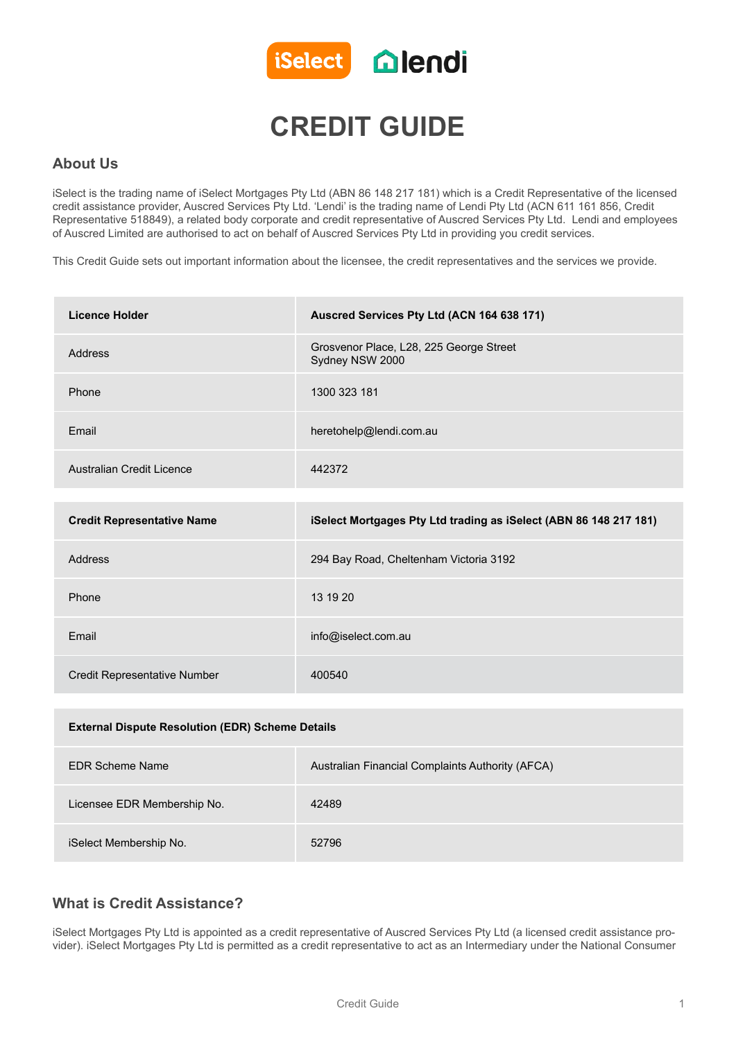

# **CREDIT GUIDE**

### **About Us**

iSelect is the trading name of iSelect Mortgages Pty Ltd (ABN 86 148 217 181) which is a Credit Representative of the licensed credit assistance provider, Auscred Services Pty Ltd. 'Lendi' is the trading name of Lendi Pty Ltd (ACN 611 161 856, Credit Representative 518849), a related body corporate and credit representative of Auscred Services Pty Ltd. Lendi and employees of Auscred Limited are authorised to act on behalf of Auscred Services Pty Ltd in providing you credit services.

This Credit Guide sets out important information about the licensee, the credit representatives and the services we provide.

| <b>Licence Holder</b>                                   | Auscred Services Pty Ltd (ACN 164 638 171)                        |
|---------------------------------------------------------|-------------------------------------------------------------------|
| Address                                                 | Grosvenor Place, L28, 225 George Street<br>Sydney NSW 2000        |
| Phone                                                   | 1300 323 181                                                      |
| Email                                                   | heretohelp@lendi.com.au                                           |
| Australian Credit Licence                               | 442372                                                            |
|                                                         |                                                                   |
| <b>Credit Representative Name</b>                       | iSelect Mortgages Pty Ltd trading as iSelect (ABN 86 148 217 181) |
| Address                                                 | 294 Bay Road, Cheltenham Victoria 3192                            |
| Phone                                                   | 13 19 20                                                          |
| Email                                                   | info@iselect.com.au                                               |
| <b>Credit Representative Number</b>                     | 400540                                                            |
|                                                         |                                                                   |
| <b>External Dispute Resolution (EDR) Scheme Details</b> |                                                                   |
| <b>EDR Scheme Name</b>                                  | Australian Financial Complaints Authority (AFCA)                  |
| Licensee EDR Membership No.                             | 42489                                                             |
|                                                         |                                                                   |

iSelect Membership No. 52796

### **What is Credit Assistance?**

iSelect Mortgages Pty Ltd is appointed as a credit representative of Auscred Services Pty Ltd (a licensed credit assistance provider). iSelect Mortgages Pty Ltd is permitted as a credit representative to act as an Intermediary under the National Consumer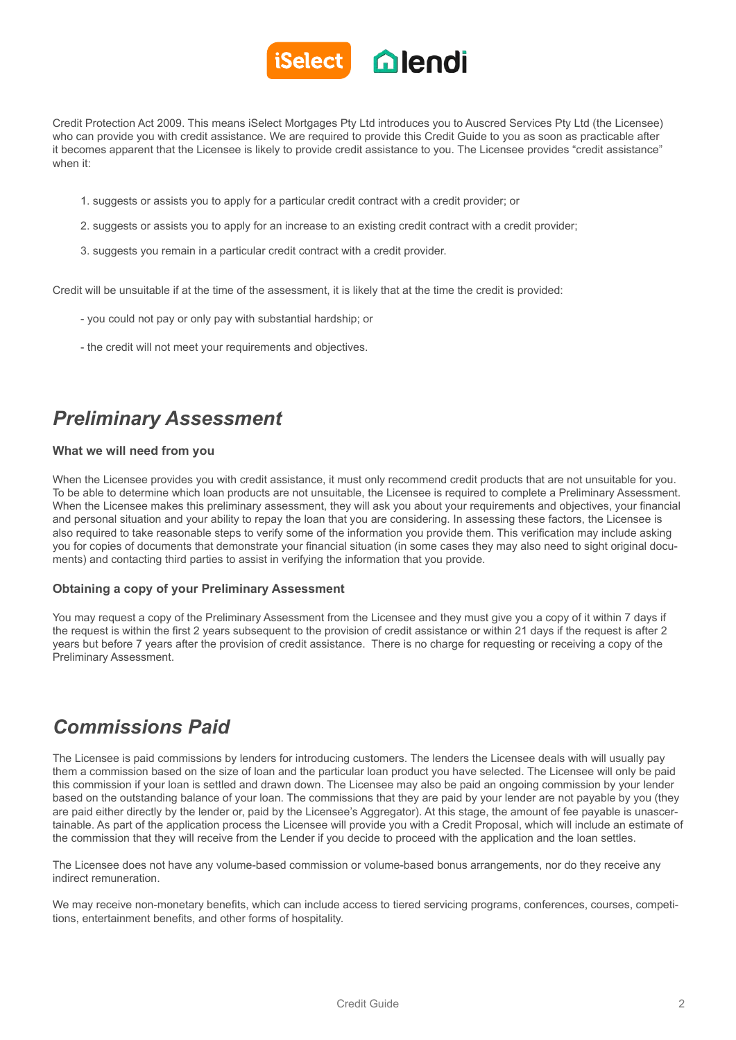

Credit Protection Act 2009. This means iSelect Mortgages Pty Ltd introduces you to Auscred Services Pty Ltd (the Licensee) who can provide you with credit assistance. We are required to provide this Credit Guide to you as soon as practicable after it becomes apparent that the Licensee is likely to provide credit assistance to you. The Licensee provides "credit assistance" when it:

- 1. suggests or assists you to apply for a particular credit contract with a credit provider; or
- 2. suggests or assists you to apply for an increase to an existing credit contract with a credit provider;
- 3. suggests you remain in a particular credit contract with a credit provider.

Credit will be unsuitable if at the time of the assessment, it is likely that at the time the credit is provided:

- you could not pay or only pay with substantial hardship; or
- the credit will not meet your requirements and objectives.

# *Preliminary Assessment*

#### **What we will need from you**

When the Licensee provides you with credit assistance, it must only recommend credit products that are not unsuitable for you. To be able to determine which loan products are not unsuitable, the Licensee is required to complete a Preliminary Assessment. When the Licensee makes this preliminary assessment, they will ask you about your requirements and objectives, your financial and personal situation and your ability to repay the loan that you are considering. In assessing these factors, the Licensee is also required to take reasonable steps to verify some of the information you provide them. This verification may include asking you for copies of documents that demonstrate your financial situation (in some cases they may also need to sight original documents) and contacting third parties to assist in verifying the information that you provide.

#### **Obtaining a copy of your Preliminary Assessment**

You may request a copy of the Preliminary Assessment from the Licensee and they must give you a copy of it within 7 days if the request is within the first 2 years subsequent to the provision of credit assistance or within 21 days if the request is after 2 years but before 7 years after the provision of credit assistance. There is no charge for requesting or receiving a copy of the Preliminary Assessment.

## *Commissions Paid*

The Licensee is paid commissions by lenders for introducing customers. The lenders the Licensee deals with will usually pay them a commission based on the size of loan and the particular loan product you have selected. The Licensee will only be paid this commission if your loan is settled and drawn down. The Licensee may also be paid an ongoing commission by your lender based on the outstanding balance of your loan. The commissions that they are paid by your lender are not payable by you (they are paid either directly by the lender or, paid by the Licensee's Aggregator). At this stage, the amount of fee payable is unascertainable. As part of the application process the Licensee will provide you with a Credit Proposal, which will include an estimate of the commission that they will receive from the Lender if you decide to proceed with the application and the loan settles.

The Licensee does not have any volume-based commission or volume-based bonus arrangements, nor do they receive any indirect remuneration.

We may receive non-monetary benefits, which can include access to tiered servicing programs, conferences, courses, competitions, entertainment benefits, and other forms of hospitality.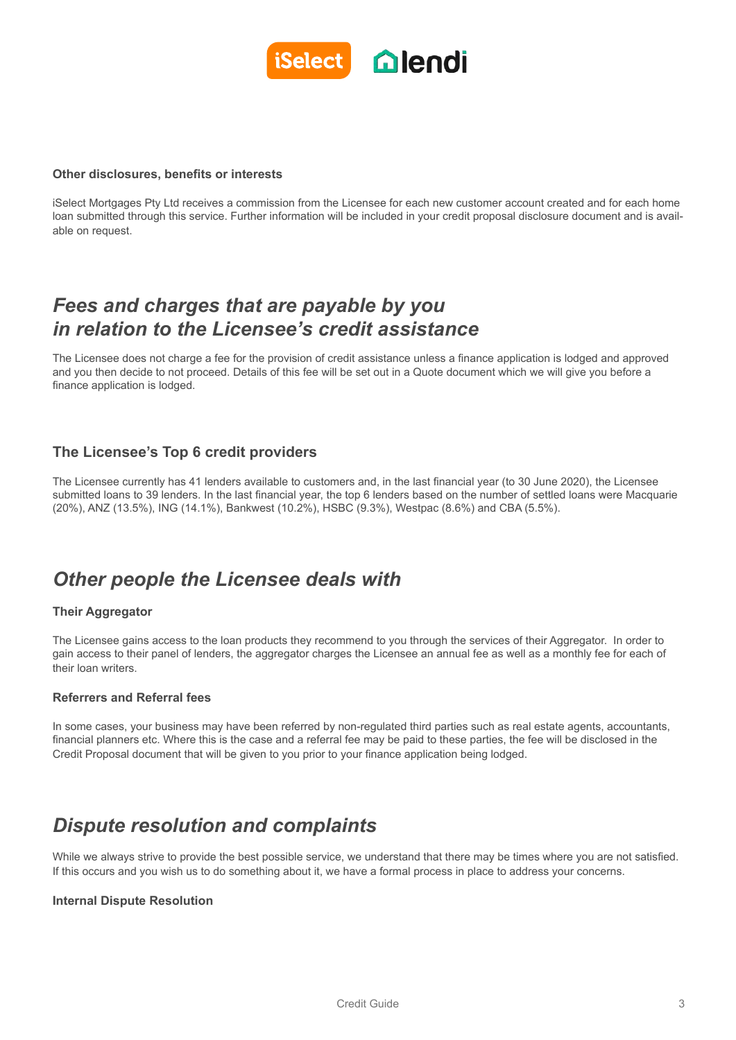

#### **Other disclosures, benefits or interests**

iSelect Mortgages Pty Ltd receives a commission from the Licensee for each new customer account created and for each home loan submitted through this service. Further information will be included in your credit proposal disclosure document and is available on request.

### *Fees and charges that are payable by you in relation to the Licensee's credit assistance*

The Licensee does not charge a fee for the provision of credit assistance unless a finance application is lodged and approved and you then decide to not proceed. Details of this fee will be set out in a Quote document which we will give you before a finance application is lodged.

### **The Licensee's Top 6 credit providers**

The Licensee currently has 41 lenders available to customers and, in the last financial year (to 30 June 2020), the Licensee submitted loans to 39 lenders. In the last financial year, the top 6 lenders based on the number of settled loans were Macquarie (20%), ANZ (13.5%), ING (14.1%), Bankwest (10.2%), HSBC (9.3%), Westpac (8.6%) and CBA (5.5%).

### *Other people the Licensee deals with*

### **Their Aggregator**

The Licensee gains access to the loan products they recommend to you through the services of their Aggregator. In order to gain access to their panel of lenders, the aggregator charges the Licensee an annual fee as well as a monthly fee for each of their loan writers.

### **Referrers and Referral fees**

In some cases, your business may have been referred by non-regulated third parties such as real estate agents, accountants, financial planners etc. Where this is the case and a referral fee may be paid to these parties, the fee will be disclosed in the Credit Proposal document that will be given to you prior to your finance application being lodged.

## *Dispute resolution and complaints*

While we always strive to provide the best possible service, we understand that there may be times where you are not satisfied. If this occurs and you wish us to do something about it, we have a formal process in place to address your concerns.

#### **Internal Dispute Resolution**